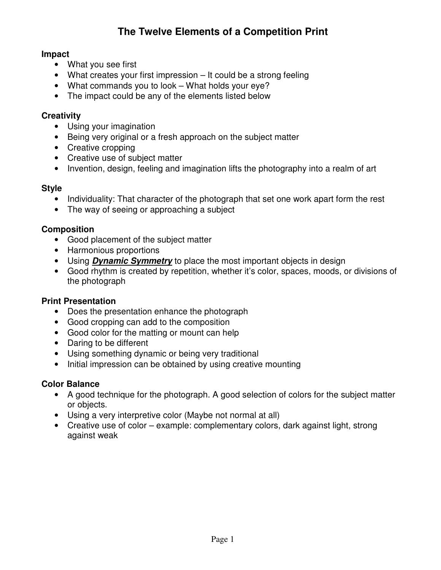# **The Twelve Elements of a Competition Print**

### **Impact**

- What you see first
- What creates your first impression It could be a strong feeling
- What commands you to look What holds your eye?
- The impact could be any of the elements listed below

### **Creativity**

- Using your imagination
- Being very original or a fresh approach on the subject matter
- Creative cropping
- Creative use of subject matter
- Invention, design, feeling and imagination lifts the photography into a realm of art

### **Style**

- Individuality: That character of the photograph that set one work apart form the rest
- The way of seeing or approaching a subject

### **Composition**

- Good placement of the subject matter
- Harmonious proportions
- Using **Dynamic Symmetry** to place the most important objects in design
- Good rhythm is created by repetition, whether it's color, spaces, moods, or divisions of the photograph

#### **Print Presentation**

- Does the presentation enhance the photograph
- Good cropping can add to the composition
- Good color for the matting or mount can help
- Daring to be different
- Using something dynamic or being very traditional
- Initial impression can be obtained by using creative mounting

### **Color Balance**

- A good technique for the photograph. A good selection of colors for the subject matter or objects.
- Using a very interpretive color (Maybe not normal at all)
- Creative use of color example: complementary colors, dark against light, strong against weak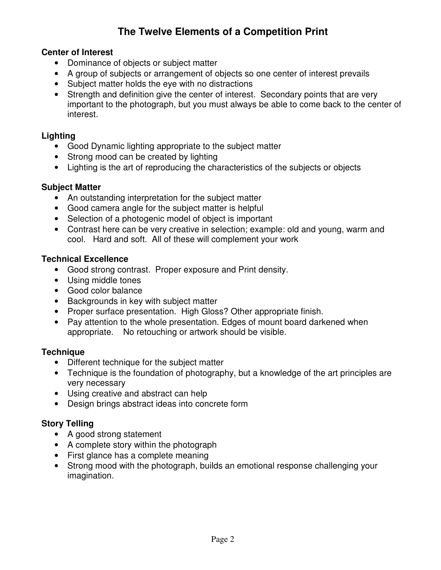# **The Twelve Elements of a Competition Print**

### **Center of Interest**

- Dominance of objects or subject matter
- A group of subjects or arrangement of objects so one center of interest prevails
- Subject matter holds the eye with no distractions
- Strength and definition give the center of interest. Secondary points that are very important to the photograph, but you must always be able to come back to the center of interest.

### **Lighting**

- Good Dynamic lighting appropriate to the subject matter
- Strong mood can be created by lighting
- Lighting is the art of reproducing the characteristics of the subjects or objects

## **Subject Matter**

- An outstanding interpretation for the subject matter
- Good camera angle for the subject matter is helpful
- Selection of a photogenic model of object is important
- Contrast here can be very creative in selection; example: old and young, warm and cool. Hard and soft. All of these will complement your work

### **Technical Excellence**

- Good strong contrast. Proper exposure and Print density.
- Using middle tones
- Good color balance
- Backgrounds in key with subject matter
- Proper surface presentation. High Gloss? Other appropriate finish.
- Pay attention to the whole presentation. Edges of mount board darkened when appropriate. No retouching or artwork should be visible.

## **Technique**

- Different technique for the subject matter
- Technique is the foundation of photography, but a knowledge of the art principles are very necessary
- Using creative and abstract can help
- Design brings abstract ideas into concrete form

## **Story Telling**

- A good strong statement
- A complete story within the photograph
- First glance has a complete meaning
- Strong mood with the photograph, builds an emotional response challenging your imagination.